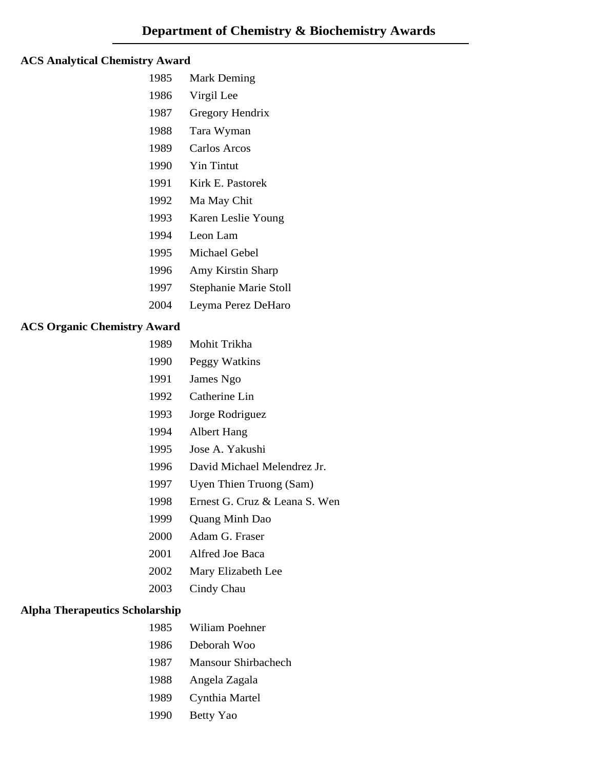#### **ACS Analytical Chemistry Award**

- 1985 Mark Deming
- 1986 Virgil Lee
- 1987 Gregory Hendrix
- 1988 Tara Wyman
- 1989 Carlos Arcos
- 1990 Yin Tintut
- 1991 Kirk E. Pastorek
- 1992 Ma May Chit
- 1993 Karen Leslie Young
- 1994 Leon Lam
- 1995 Michael Gebel
- 1996 Amy Kirstin Sharp
- 1997 Stephanie Marie Stoll
- 2004 Leyma Perez DeHaro

## **ACS Organic Chemistry Award**

- 1989 Mohit Trikha
- 1990 Peggy Watkins
- 1991 James Ngo
- 1992 Catherine Lin
- 1993 Jorge Rodriguez
- 1994 Albert Hang
- 1995 Jose A. Yakushi
- 1996 David Michael Melendrez Jr.
- 1997 Uyen Thien Truong (Sam)
- 1998 Ernest G. Cruz & Leana S. Wen
- 1999 Quang Minh Dao
- 2000 Adam G. Fraser
- 2001 Alfred Joe Baca
- 2002 Mary Elizabeth Lee
- 2003 Cindy Chau

## **Alpha Therapeutics Scholarship**

- 1985 Wiliam Poehner
- 1986 Deborah Woo
- 1987 Mansour Shirbachech
- 1988 Angela Zagala
- 1989 Cynthia Martel
- 1990 Betty Yao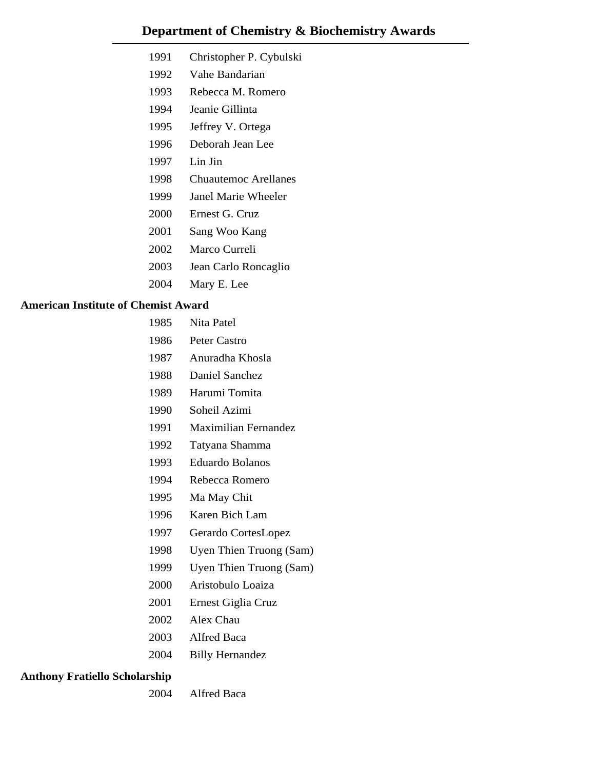- 1991 Christopher P. Cybulski
- 1992 Vahe Bandarian
- 1993 Rebecca M. Romero
- 1994 Jeanie Gillinta
- 1995 Jeffrey V. Ortega
- 1996 Deborah Jean Lee
- 1997 Lin Jin
- 1998 Chuautemoc Arellanes
- 1999 Janel Marie Wheeler
- 2000 Ernest G. Cruz
- 2001 Sang Woo Kang
- 2002 Marco Curreli
- 2003 Jean Carlo Roncaglio
- 2004 Mary E. Lee

#### **American Institute of Chemist Award**

- 1985 Nita Patel
- 1986 Peter Castro
- 1987 Anuradha Khosla
- 1988 Daniel Sanchez
- 1989 Harumi Tomita
- 1990 Soheil Azimi
- 1991 Maximilian Fernandez
- 1992 Tatyana Shamma
- 1993 Eduardo Bolanos
- 1994 Rebecca Romero
- 1995 Ma May Chit
- 1996 Karen Bich Lam
- 1997 Gerardo CortesLopez
- 1998 Uyen Thien Truong (Sam)
- 1999 Uyen Thien Truong (Sam)
- 2000 Aristobulo Loaiza
- 2001 Ernest Giglia Cruz
- 2002 Alex Chau
- 2003 Alfred Baca
- 2004 Billy Hernandez

#### **Anthony Fratiello Scholarship**

2004 Alfred Baca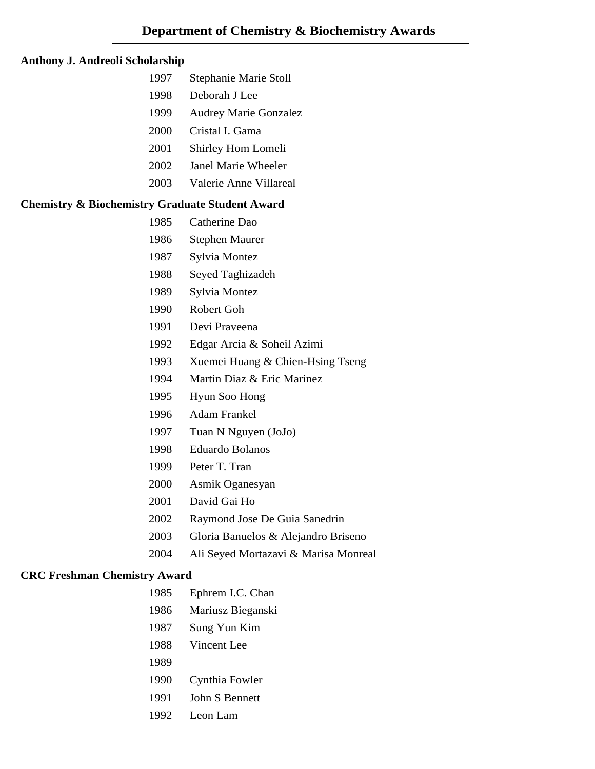#### **Anthony J. Andreoli Scholarship**

- 1997 Stephanie Marie Stoll
- 1998 Deborah J Lee
- 1999 Audrey Marie Gonzalez
- 2000 Cristal I. Gama
- 2001 Shirley Hom Lomeli
- 2002 Janel Marie Wheeler
- 2003 Valerie Anne Villareal

#### **Chemistry & Biochemistry Graduate Student Award**

- 1985 Catherine Dao
- 1986 Stephen Maurer
- 1987 Sylvia Montez
- 1988 Seyed Taghizadeh
- 1989 Sylvia Montez
- 1990 Robert Goh
- 1991 Devi Praveena
- 1992 Edgar Arcia & Soheil Azimi
- 1993 Xuemei Huang & Chien-Hsing Tseng
- 1994 Martin Diaz & Eric Marinez
- 1995 Hyun Soo Hong
- 1996 Adam Frankel
- 1997 Tuan N Nguyen (JoJo)
- 1998 Eduardo Bolanos
- 1999 Peter T. Tran
- 2000 Asmik Oganesyan
- 2001 David Gai Ho
- 2002 Raymond Jose De Guia Sanedrin
- 2003 Gloria Banuelos & Alejandro Briseno
- 2004 Ali Seyed Mortazavi & Marisa Monreal

#### **CRC Freshman Chemistry Award**

- 1985 Ephrem I.C. Chan
- 1986 Mariusz Bieganski
- 1987 Sung Yun Kim
- 1988 Vincent Lee
- 1989
- 1990 Cynthia Fowler
- 1991 John S Bennett
- 1992 Leon Lam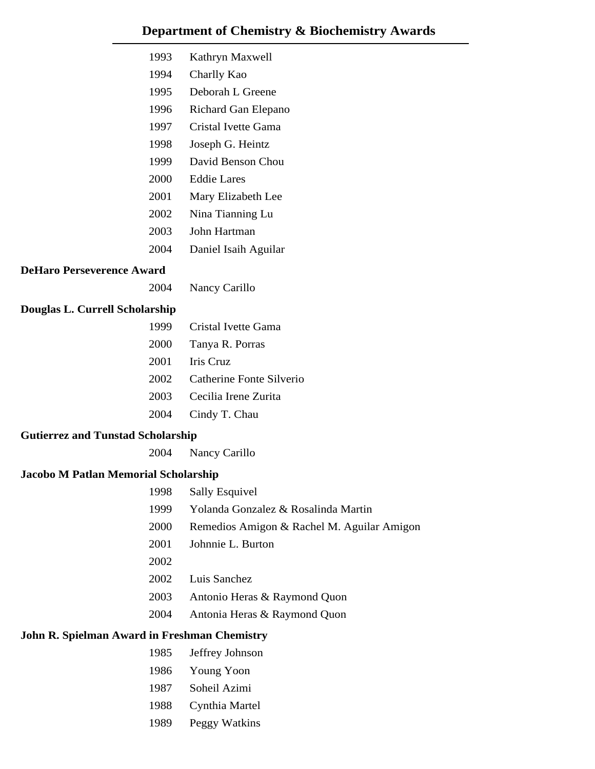| 1993 | Kathryn Maxwell      |
|------|----------------------|
| 1994 | Charlly Kao          |
| 1995 | Deborah L Greene     |
| 1996 | Richard Gan Elepano  |
| 1997 | Cristal Ivette Gama  |
| 1998 | Joseph G. Heintz     |
| 1999 | David Benson Chou    |
| 2000 | Eddie Lares          |
| 2001 | Mary Elizabeth Lee   |
| 2002 | Nina Tianning Lu     |
| 2003 | John Hartman         |
| 2004 | Daniel Isaih Aguilar |

#### **DeHaro Perseverence Award**

2004 Nancy Carillo

## **Douglas L. Currell Scholarship**

| 1999 | Cristal Ivette Gama      |
|------|--------------------------|
| 2000 | Tanya R. Porras          |
| 2001 | Iris Cruz                |
| 2002 | Catherine Fonte Silverio |
| 2003 | Cecilia Irene Zurita     |
| 2004 | Cindy T. Chau            |

## **Gutierrez and Tunstad Scholarship**

2004 Nancy Carillo

## **Jacobo M Patlan Memorial Scholarship**

| 1998 | <b>Sally Esquivel</b>                      |
|------|--------------------------------------------|
| 1999 | Yolanda Gonzalez & Rosalinda Martin        |
| 2000 | Remedios Amigon & Rachel M. Aguilar Amigon |
| 2001 | Johnnie L. Burton                          |
| 2002 |                                            |
| 2002 | Luis Sanchez                               |
| 2003 | Antonio Heras & Raymond Quon               |
| 2004 | Antonia Heras & Raymond Quon               |

#### **John R. Spielman Award in Freshman Chemistry**

- 1985 Jeffrey Johnson
- 1986 Young Yoon
- 1987 Soheil Azimi
- 1988 Cynthia Martel
- 1989 Peggy Watkins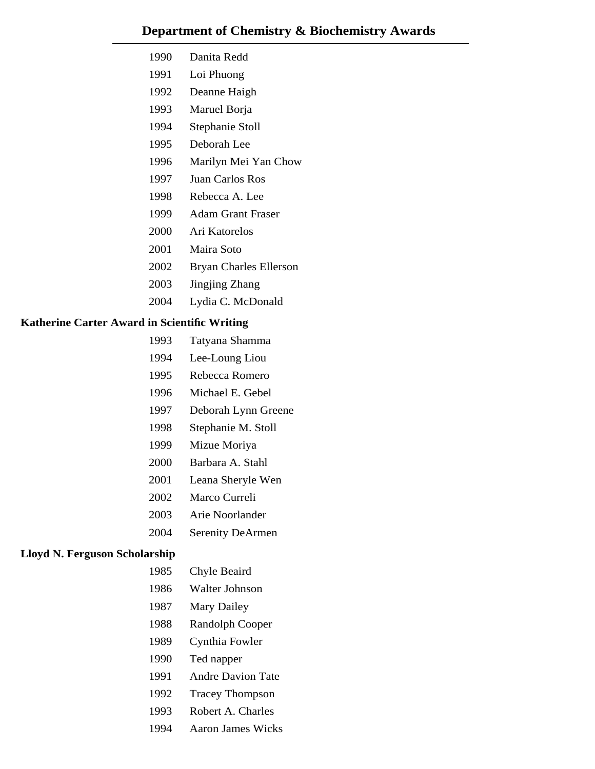- 1990 Danita Redd
- 1991 Loi Phuong
- 1992 Deanne Haigh
- 1993 Maruel Borja
- 1994 Stephanie Stoll
- 1995 Deborah Lee
- 1996 Marilyn Mei Yan Chow
- 1997 Juan Carlos Ros
- 1998 Rebecca A. Lee
- 1999 Adam Grant Fraser
- 2000 Ari Katorelos
- 2001 Maira Soto
- 2002 Bryan Charles Ellerson
- 2003 Jingjing Zhang
- 2004 Lydia C. McDonald

## **Katherine Carter Award in Scientific Writing**

- 1993 Tatyana Shamma
- 1994 Lee-Loung Liou
- 1995 Rebecca Romero
- 1996 Michael E. Gebel
- 1997 Deborah Lynn Greene
- 1998 Stephanie M. Stoll
- 1999 Mizue Moriya
- 2000 Barbara A. Stahl
- 2001 Leana Sheryle Wen
- 2002 Marco Curreli
- 2003 Arie Noorlander
- 2004 Serenity DeArmen

#### **Lloyd N. Ferguson Scholarship**

- 1985 Chyle Beaird
- 1986 Walter Johnson
- 1987 Mary Dailey
- 1988 Randolph Cooper
- 1989 Cynthia Fowler
- 1990 Ted napper
- 1991 Andre Davion Tate
- 1992 Tracey Thompson
- 1993 Robert A. Charles
- 1994 Aaron James Wicks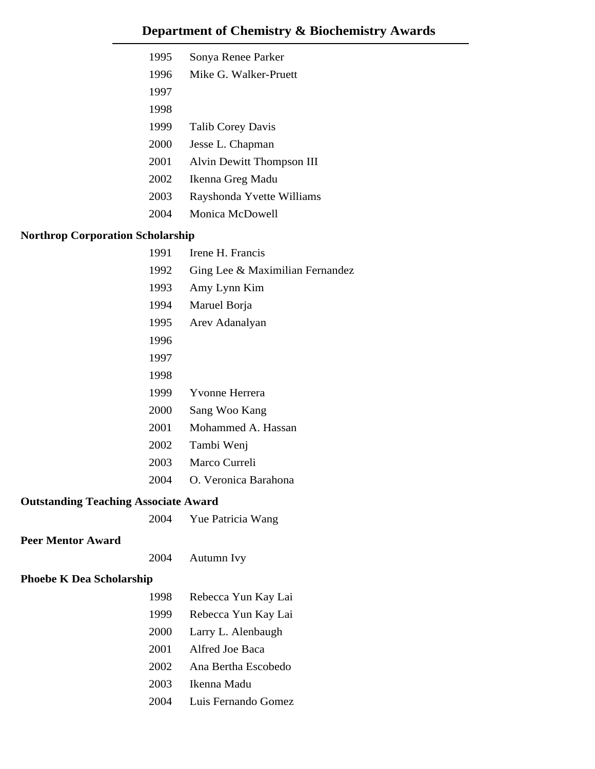| 1995 | Sonya Renee Parker        |
|------|---------------------------|
| 1996 | Mike G Walker-Pruett      |
| 1997 |                           |
| 1998 |                           |
| 1999 | <b>Talib Corey Davis</b>  |
| 2000 | Jesse L. Chapman          |
| 2001 | Alvin Dewitt Thompson III |
| 2002 | Ikenna Greg Madu          |
| 2003 | Rayshonda Yvette Williams |
| 2004 | Monica McDowell           |
|      |                           |

## **Northrop Corporation Scholarship**

|                                             | 1991 | Irene H. Francis                |
|---------------------------------------------|------|---------------------------------|
|                                             | 1992 | Ging Lee & Maximilian Fernandez |
|                                             | 1993 | Amy Lynn Kim                    |
|                                             | 1994 | Maruel Borja                    |
|                                             | 1995 | Arev Adanalyan                  |
|                                             | 1996 |                                 |
|                                             | 1997 |                                 |
|                                             | 1998 |                                 |
|                                             | 1999 | Yvonne Herrera                  |
|                                             | 2000 | Sang Woo Kang                   |
|                                             | 2001 | Mohammed A. Hassan              |
|                                             | 2002 | Tambi Wenj                      |
|                                             | 2003 | Marco Curreli                   |
|                                             | 2004 | O. Veronica Barahona            |
| <b>Outstanding Teaching Associate Award</b> |      |                                 |
|                                             | 2004 | Yue Patricia Wang               |
| <b>Peer Mentor Award</b>                    |      |                                 |
|                                             | 2004 | Autumn Ivy                      |
| <b>Phoebe K Dea Scholarship</b>             |      |                                 |
|                                             | 1998 | Rebecca Yun Kay Lai             |
|                                             | 1999 | Rebecca Yun Kay Lai             |
|                                             | 2000 | Larry L. Alenbaugh              |
|                                             | 2001 | Alfred Joe Baca                 |
|                                             | 2002 | Ana Bertha Escobedo             |
|                                             | 2003 | Ikenna Madu                     |
|                                             | 2004 | Luis Fernando Gomez             |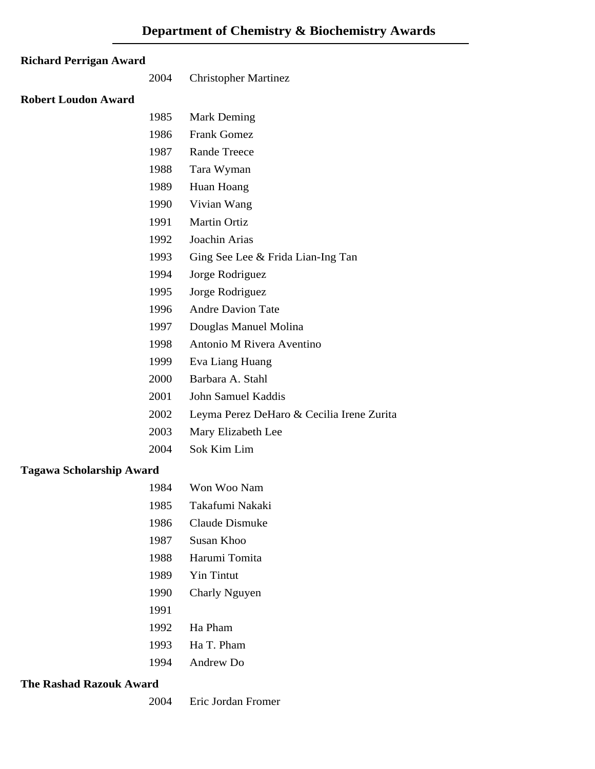## **Richard Perrigan Award**

2004 Christopher Martinez

#### **Robert Loudon Award**

| 1985 | <b>Mark Deming</b>                        |
|------|-------------------------------------------|
| 1986 | <b>Frank Gomez</b>                        |
| 1987 | <b>Rande Treece</b>                       |
| 1988 | Tara Wyman                                |
| 1989 | Huan Hoang                                |
| 1990 | Vivian Wang                               |
| 1991 | <b>Martin Ortiz</b>                       |
| 1992 | Joachin Arias                             |
| 1993 | Ging See Lee & Frida Lian-Ing Tan         |
| 1994 | Jorge Rodriguez                           |
| 1995 | Jorge Rodriguez                           |
| 1996 | <b>Andre Davion Tate</b>                  |
| 1997 | Douglas Manuel Molina                     |
| 1998 | Antonio M Rivera Aventino                 |
| 1999 | Eva Liang Huang                           |
| 2000 | Barbara A. Stahl                          |
| 2001 | John Samuel Kaddis                        |
| 2002 | Leyma Perez DeHaro & Cecilia Irene Zurita |
| 2003 | Mary Elizabeth Lee                        |

## **Tagawa Scholarship Award**

| 1984 | Won Woo Nam       |
|------|-------------------|
| 1985 | Takafumi Nakaki   |
| 1986 | Claude Dismuke    |
| 1987 | Susan Khoo        |
| 1988 | Harumi Tomita     |
| 1989 | <b>Yin Tintut</b> |
| 1990 | Charly Nguyen     |
| 1991 |                   |
| 1992 | Ha Pham           |
| 1993 | Ha T. Pham        |
| 1994 | Andrew Do         |

2004 Sok Kim Lim

#### **The Rashad Razouk Award**

2004 Eric Jordan Fromer